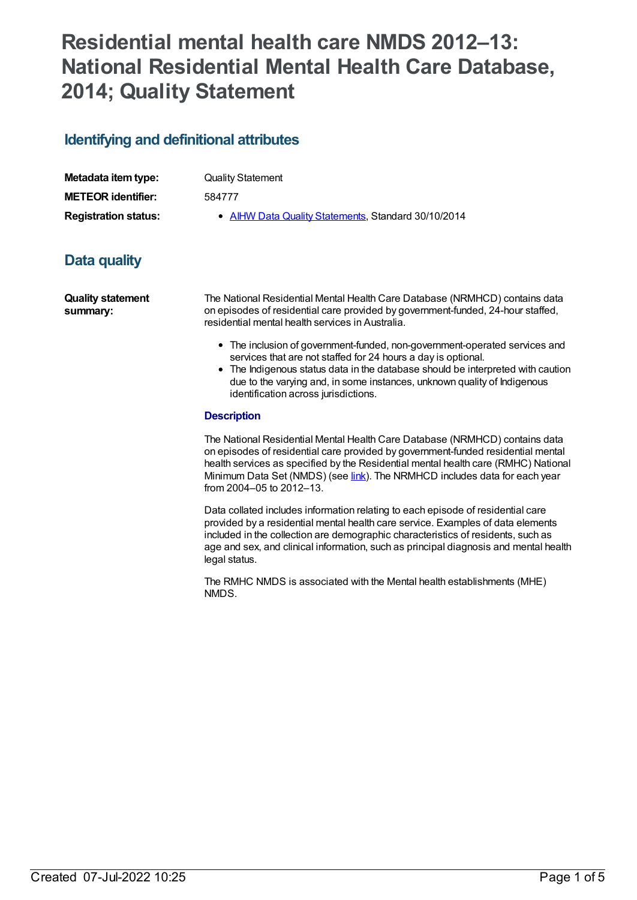# **Residential mental health care NMDS 2012–13: National Residential Mental Health Care Database, 2014; Quality Statement**

# **Identifying and definitional attributes**

| Metadata item type:         |  |
|-----------------------------|--|
| <b>METEOR identifier:</b>   |  |
| <b>Registration status:</b> |  |

**Quality Statement** 

**METEOR identifier:** 584777

**• AIHW Data Quality [Statements](https://meteor.aihw.gov.au/RegistrationAuthority/5), Standard 30/10/2014** 

# **Data quality**

**Quality statement summary:**

The National Residential Mental Health Care Database (NRMHCD) contains data on episodes of residential care provided by government-funded, 24-hour staffed, residential mental health services in Australia.

- The inclusion of government-funded, non-government-operated services and services that are not staffed for 24 hours a day is optional.
- The Indigenous status data in the database should be interpreted with caution due to the varying and, in some instances, unknown quality of Indigenous identification across jurisdictions.

#### **Description**

The National Residential Mental Health Care Database (NRMHCD) contains data on episodes of residential care provided by government-funded residential mental health services as specified by the Residential mental health care (RMHC) National Minimum Data Set (NMDS) (see *[link](file:///content/468206)*). The NRMHCD includes data for each year from 2004–05 to 2012–13.

Data collated includes information relating to each episode of residential care provided by a residential mental health care service. Examples of data elements included in the collection are demographic characteristics of residents, such as age and sex, and clinical information, such as principal diagnosis and mental health legal status.

The RMHC NMDS is associated with the Mental health establishments (MHE) NMDS.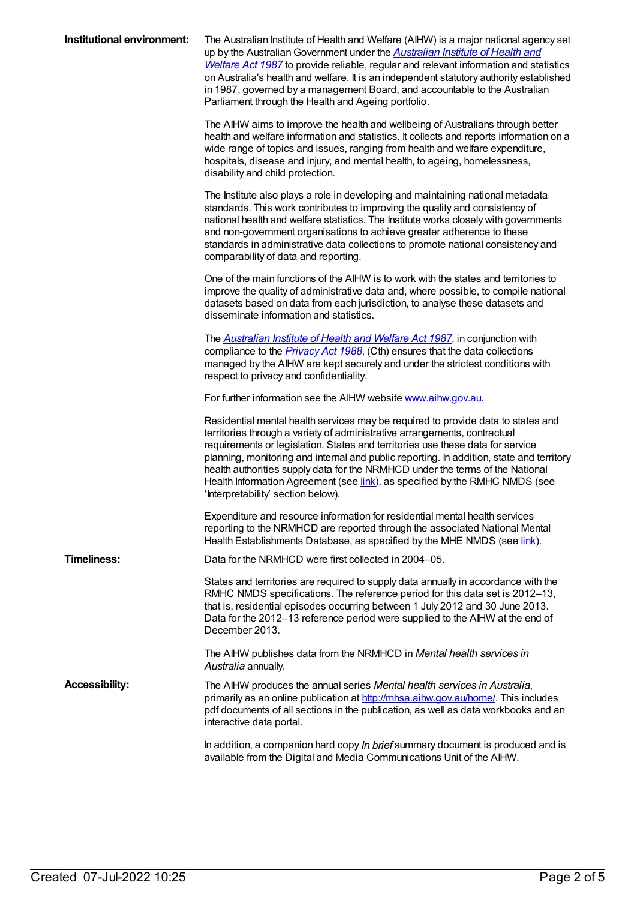| Institutional environment: | The Australian Institute of Health and Welfare (AIHW) is a major national agency set<br>up by the Australian Government under the <b>Australian Institute of Health and</b><br>Welfare Act 1987 to provide reliable, regular and relevant information and statistics<br>on Australia's health and welfare. It is an independent statutory authority established<br>in 1987, governed by a management Board, and accountable to the Australian<br>Parliament through the Health and Ageing portfolio.                                              |
|----------------------------|---------------------------------------------------------------------------------------------------------------------------------------------------------------------------------------------------------------------------------------------------------------------------------------------------------------------------------------------------------------------------------------------------------------------------------------------------------------------------------------------------------------------------------------------------|
|                            | The AIHW aims to improve the health and wellbeing of Australians through better<br>health and welfare information and statistics. It collects and reports information on a<br>wide range of topics and issues, ranging from health and welfare expenditure,<br>hospitals, disease and injury, and mental health, to ageing, homelessness,<br>disability and child protection.                                                                                                                                                                     |
|                            | The Institute also plays a role in developing and maintaining national metadata<br>standards. This work contributes to improving the quality and consistency of<br>national health and welfare statistics. The Institute works closely with governments<br>and non-government organisations to achieve greater adherence to these<br>standards in administrative data collections to promote national consistency and<br>comparability of data and reporting.                                                                                     |
|                            | One of the main functions of the AIHW is to work with the states and territories to<br>improve the quality of administrative data and, where possible, to compile national<br>datasets based on data from each jurisdiction, to analyse these datasets and<br>disseminate information and statistics.                                                                                                                                                                                                                                             |
|                            | The <b>Australian Institute of Health and Welfare Act 1987</b> , in conjunction with<br>compliance to the <i>Privacy Act 1988</i> , (Cth) ensures that the data collections<br>managed by the AIHW are kept securely and under the strictest conditions with<br>respect to privacy and confidentiality.                                                                                                                                                                                                                                           |
|                            | For further information see the AIHW website www.aihw.gov.au.                                                                                                                                                                                                                                                                                                                                                                                                                                                                                     |
|                            | Residential mental health services may be required to provide data to states and<br>territories through a variety of administrative arrangements, contractual<br>requirements or legislation. States and territories use these data for service<br>planning, monitoring and internal and public reporting. In addition, state and territory<br>health authorities supply data for the NRMHCD under the terms of the National<br>Health Information Agreement (see link), as specified by the RMHC NMDS (see<br>'Interpretability' section below). |
|                            | Expenditure and resource information for residential mental health services<br>reporting to the NRMHCD are reported through the associated National Mental<br>Health Establishments Database, as specified by the MHE NMDS (see link).                                                                                                                                                                                                                                                                                                            |
| <b>Timeliness:</b>         | Data for the NRMHCD were first collected in 2004–05.                                                                                                                                                                                                                                                                                                                                                                                                                                                                                              |
|                            | States and territories are required to supply data annually in accordance with the<br>RMHC NMDS specifications. The reference period for this data set is 2012-13,<br>that is, residential episodes occurring between 1 July 2012 and 30 June 2013.<br>Data for the 2012-13 reference period were supplied to the AIHW at the end of<br>December 2013.                                                                                                                                                                                            |
|                            | The AIHW publishes data from the NRMHCD in Mental health services in<br>Australia annually.                                                                                                                                                                                                                                                                                                                                                                                                                                                       |
| <b>Accessibility:</b>      | The AIHW produces the annual series Mental health services in Australia,<br>primarily as an online publication at http://mhsa.aihw.gov.au/home/. This includes<br>pdf documents of all sections in the publication, as well as data workbooks and an<br>interactive data portal.                                                                                                                                                                                                                                                                  |
|                            | In addition, a companion hard copy In brief summary document is produced and is<br>available from the Digital and Media Communications Unit of the AIHW.                                                                                                                                                                                                                                                                                                                                                                                          |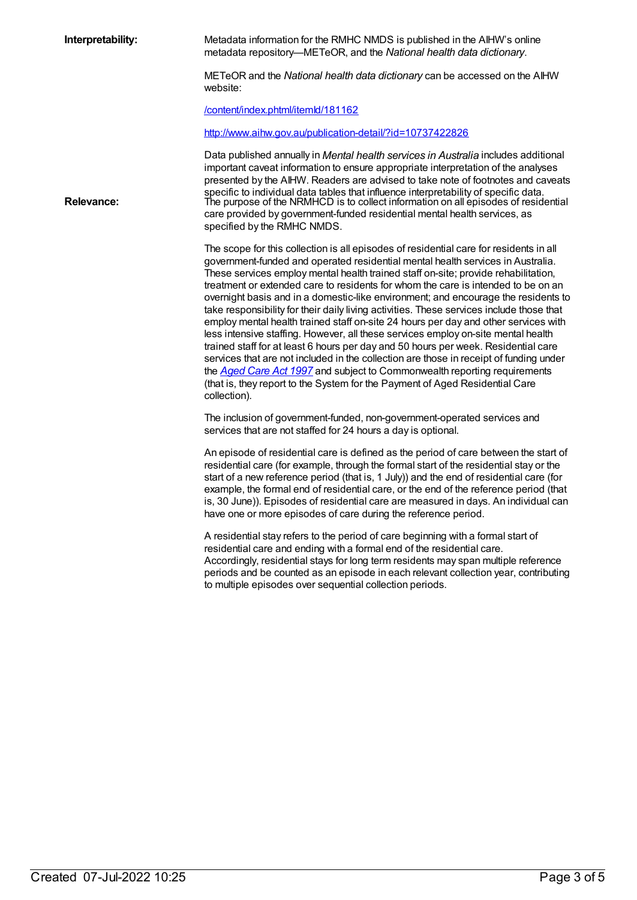**Interpretability:** Metadata information for the RMHC NMDS is published in the AIHW's online metadata repository—METeOR, and the *National health data dictionary*.

> METeOR and the *National health data dictionary* can be accessed on the AIHW website:

[/content/index.phtml/itemId/181162](file:///content/181162)

<http://www.aihw.gov.au/publication-detail/?id=10737422826>

Data published annually in *Mental health services in Australia* includes additional important caveat information to ensure appropriate interpretation of the analyses presented by the AIHW. Readers are advised to take note of footnotes and caveats specific to individual data tables that influence interpretability of specific data. Relevance: The purpose of the NRMHCD is to collect information on all episodes of residential care provided by government-funded residential mental health services, as specified by the RMHC NMDS.

> The scope for this collection is all episodes of residential care for residents in all government-funded and operated residential mental health services in Australia. These services employ mental health trained staff on-site; provide rehabilitation, treatment or extended care to residents for whom the care is intended to be on an overnight basis and in a domestic-like environment; and encourage the residents to take responsibility for their daily living activities. These services include those that employ mental health trained staff on-site 24 hours per day and other services with less intensive staffing. However, all these services employ on-site mental health trained staff for at least 6 hours per day and 50 hours per week. Residential care services that are not included in the collection are those in receipt of funding under the *[Aged](http://www.comlaw.gov.au/Details/C2012C00573) Care Act 1997* and subject to Commonwealth reporting requirements (that is, they report to the System for the Payment of Aged Residential Care collection).

The inclusion of government-funded, non-government-operated services and services that are not staffed for 24 hours a day is optional.

An episode of residential care is defined as the period of care between the start of residential care (for example, through the formal start of the residential stay or the start of a new reference period (that is, 1 July)) and the end of residential care (for example, the formal end of residential care, or the end of the reference period (that is, 30 June)). Episodes of residential care are measured in days. An individual can have one or more episodes of care during the reference period.

A residential stay refers to the period of care beginning with a formal start of residential care and ending with a formal end of the residential care. Accordingly, residential stays for long term residents may span multiple reference periods and be counted as an episode in each relevant collection year, contributing to multiple episodes over sequential collection periods.

Created 07-Jul-2022 10:25 Page 3 of 5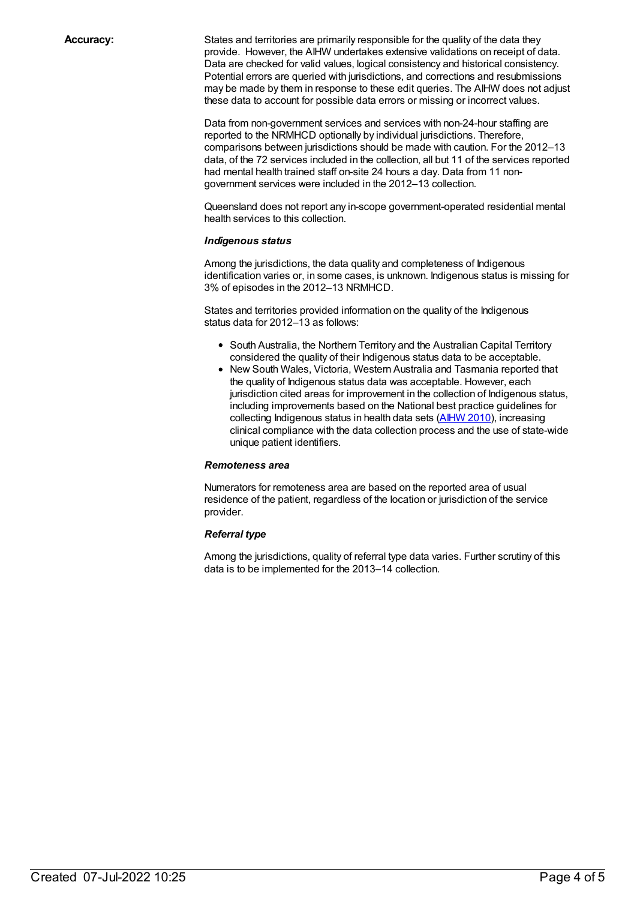**Accuracy:** States and territories are primarily responsible for the quality of the data they provide. However, the AIHW undertakes extensive validations on receipt of data. Data are checked for valid values, logical consistency and historical consistency. Potential errors are queried with jurisdictions, and corrections and resubmissions may be made by them in response to these edit queries. The AIHW does not adjust these data to account for possible data errors or missing or incorrect values.

> Data from non-government services and services with non-24-hour staffing are reported to the NRMHCD optionally by individual jurisdictions. Therefore, comparisons between jurisdictions should be made with caution. For the 2012–13 data, of the 72 services included in the collection, all but 11 of the services reported had mental health trained staff on-site 24 hours a day. Data from 11 nongovernment services were included in the 2012–13 collection.

Queensland does not report any in-scope government-operated residential mental health services to this collection.

#### *Indigenous status*

Among the jurisdictions, the data quality and completeness of Indigenous identification varies or, in some cases, is unknown. Indigenous status is missing for 3% of episodes in the 2012–13 NRMHCD.

States and territories provided information on the quality of the Indigenous status data for 2012–13 as follows:

- South Australia, the Northern Territory and the Australian Capital Territory considered the quality of their Indigenous status data to be acceptable.
- New South Wales, Victoria, Western Australia and Tasmania reported that the quality of Indigenous status data was acceptable. However, each jurisdiction cited areas for improvement in the collection of Indigenous status, including improvements based on the National best practice guidelines for collecting Indigenous status in health data sets [\(AIHW](http://www.aihw.gov.au/WorkArea/DownloadAsset.aspx?id=6442458760) 2010), increasing clinical compliance with the data collection process and the use of state-wide unique patient identifiers.

#### *Remoteness area*

Numerators for remoteness area are based on the reported area of usual residence of the patient, regardless of the location or jurisdiction of the service provider.

#### *Referral type*

Among the jurisdictions, quality of referral type data varies. Further scrutiny of this data is to be implemented for the 2013–14 collection.